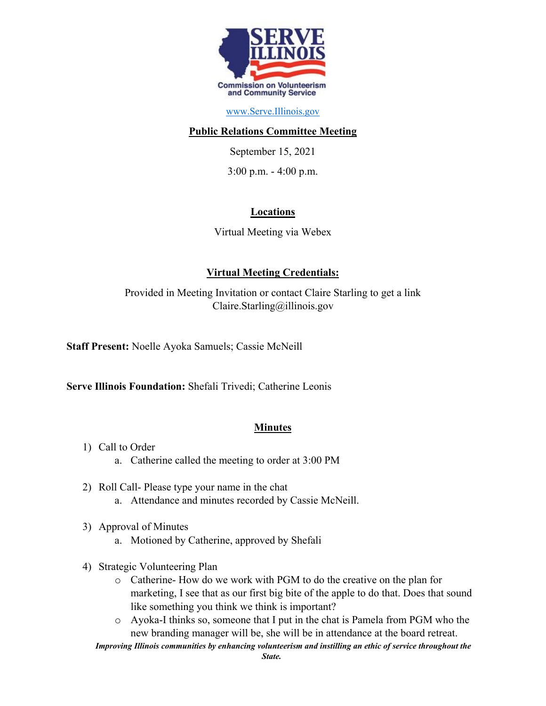

### [www.Serve.Illinois.gov](http://www.serve.illinois.gov/)

### **Public Relations Committee Meeting**

September 15, 2021

3:00 p.m. - 4:00 p.m.

# **Locations**

Virtual Meeting via Webex

# **Virtual Meeting Credentials:**

Provided in Meeting Invitation or contact Claire Starling to get a link Claire.Starling@illinois.gov

**Staff Present:** Noelle Ayoka Samuels; Cassie McNeill

**Serve Illinois Foundation:** Shefali Trivedi; Catherine Leonis

# **Minutes**

- 1) Call to Order
	- a. Catherine called the meeting to order at 3:00 PM
- 2) Roll Call- Please type your name in the chat a. Attendance and minutes recorded by Cassie McNeill.
	-
- 3) Approval of Minutes
	- a. Motioned by Catherine, approved by Shefali
- 4) Strategic Volunteering Plan
	- o Catherine- How do we work with PGM to do the creative on the plan for marketing, I see that as our first big bite of the apple to do that. Does that sound like something you think we think is important?
	- o Ayoka-I thinks so, someone that I put in the chat is Pamela from PGM who the new branding manager will be, she will be in attendance at the board retreat.
	- *Improving Illinois communities by enhancing volunteerism and instilling an ethic of service throughout the*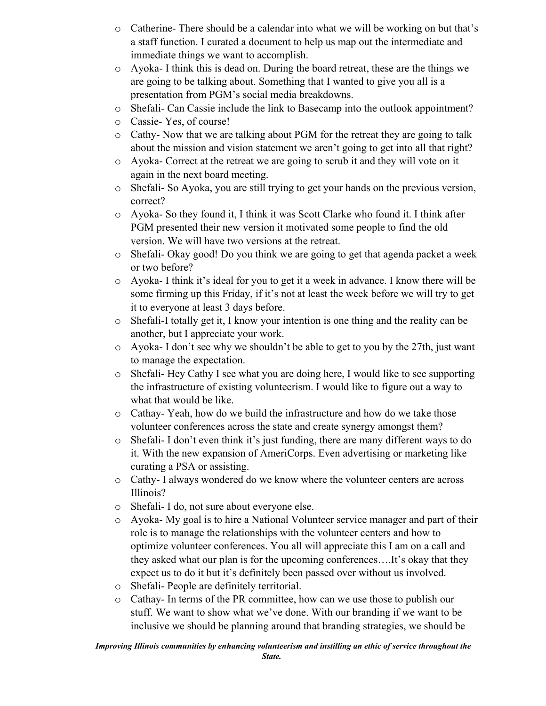- o Catherine- There should be a calendar into what we will be working on but that's a staff function. I curated a document to help us map out the intermediate and immediate things we want to accomplish.
- o Ayoka- I think this is dead on. During the board retreat, these are the things we are going to be talking about. Something that I wanted to give you all is a presentation from PGM's social media breakdowns.
- o Shefali- Can Cassie include the link to Basecamp into the outlook appointment?
- o Cassie- Yes, of course!
- o Cathy- Now that we are talking about PGM for the retreat they are going to talk about the mission and vision statement we aren't going to get into all that right?
- o Ayoka- Correct at the retreat we are going to scrub it and they will vote on it again in the next board meeting.
- o Shefali- So Ayoka, you are still trying to get your hands on the previous version, correct?
- o Ayoka- So they found it, I think it was Scott Clarke who found it. I think after PGM presented their new version it motivated some people to find the old version. We will have two versions at the retreat.
- o Shefali- Okay good! Do you think we are going to get that agenda packet a week or two before?
- o Ayoka- I think it's ideal for you to get it a week in advance. I know there will be some firming up this Friday, if it's not at least the week before we will try to get it to everyone at least 3 days before.
- o Shefali-I totally get it, I know your intention is one thing and the reality can be another, but I appreciate your work.
- o Ayoka- I don't see why we shouldn't be able to get to you by the 27th, just want to manage the expectation.
- o Shefali- Hey Cathy I see what you are doing here, I would like to see supporting the infrastructure of existing volunteerism. I would like to figure out a way to what that would be like.
- o Cathay- Yeah, how do we build the infrastructure and how do we take those volunteer conferences across the state and create synergy amongst them?
- o Shefali- I don't even think it's just funding, there are many different ways to do it. With the new expansion of AmeriCorps. Even advertising or marketing like curating a PSA or assisting.
- o Cathy- I always wondered do we know where the volunteer centers are across Illinois?
- o Shefali- I do, not sure about everyone else.
- o Ayoka- My goal is to hire a National Volunteer service manager and part of their role is to manage the relationships with the volunteer centers and how to optimize volunteer conferences. You all will appreciate this I am on a call and they asked what our plan is for the upcoming conferences….It's okay that they expect us to do it but it's definitely been passed over without us involved.
- o Shefali- People are definitely territorial.
- o Cathay- In terms of the PR committee, how can we use those to publish our stuff. We want to show what we've done. With our branding if we want to be inclusive we should be planning around that branding strategies, we should be